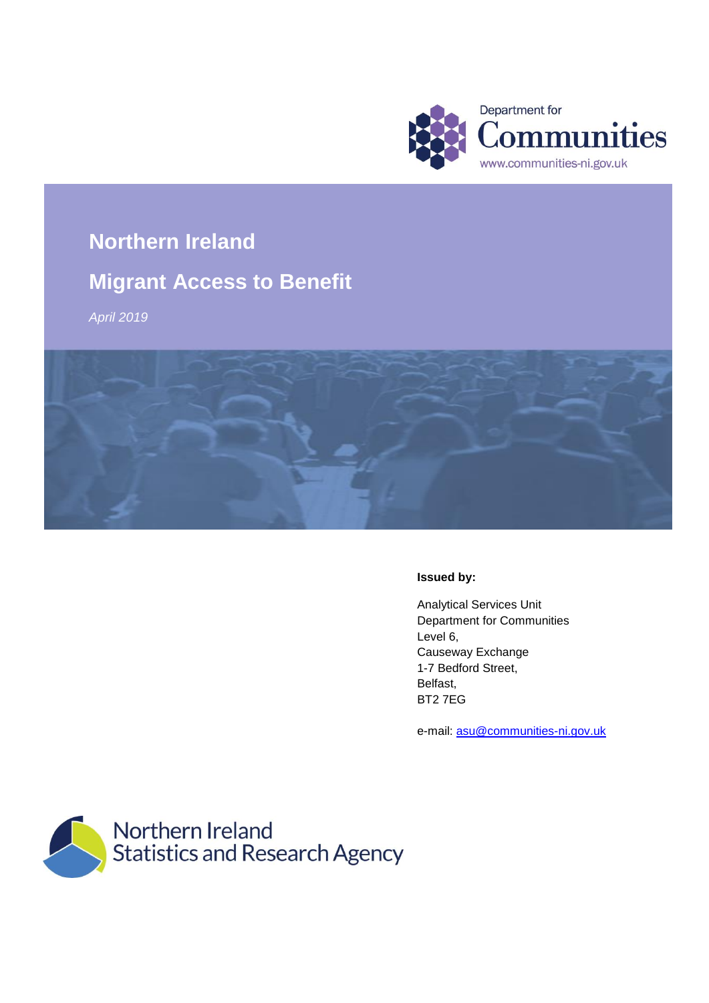

# **Northern Ireland**

# **Migrant Access to Benefit**

*April 2019*



#### **Issued by:**

Analytical Services Unit Department for Communities Level 6, Causeway Exchange 1-7 Bedford Street, Belfast, BT2 7EG

e-mail: [asu@communities-ni.gov.uk](mailto:asu@communities-ni.gov.uk)

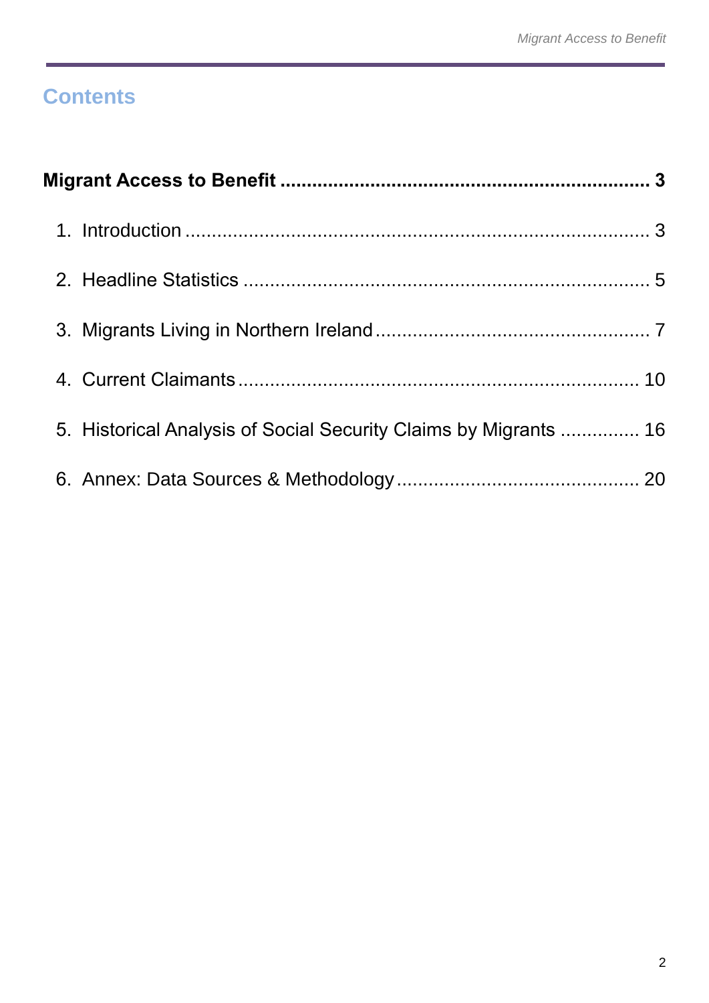# **Contents**

| 5. Historical Analysis of Social Security Claims by Migrants  16 |  |
|------------------------------------------------------------------|--|
|                                                                  |  |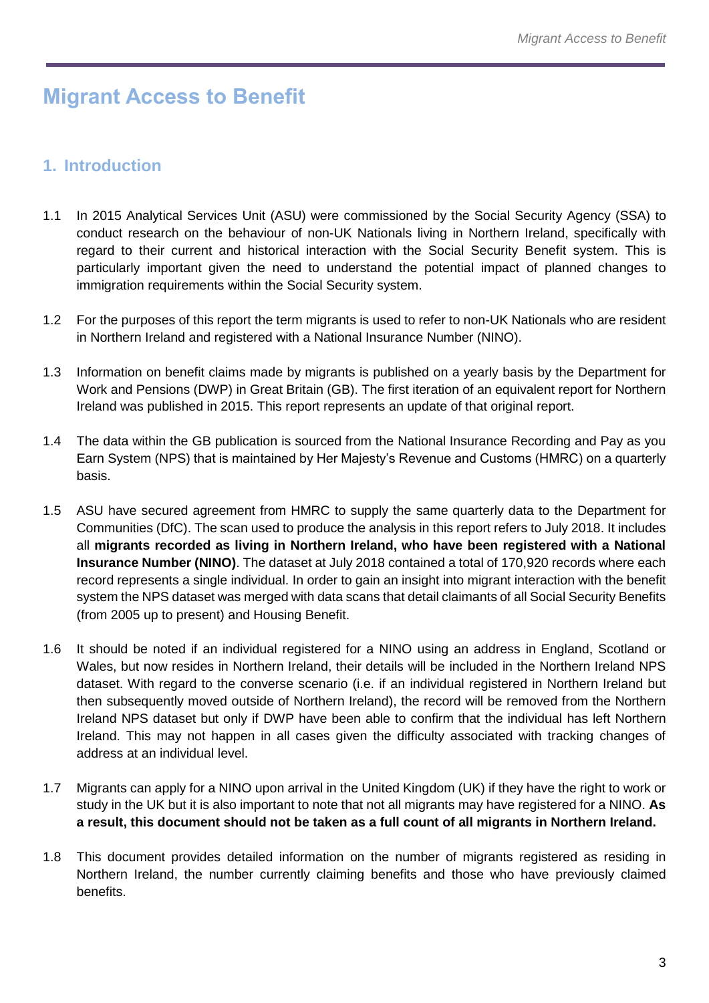# <span id="page-2-0"></span>**Migrant Access to Benefit**

# <span id="page-2-1"></span>**1. Introduction**

- 1.1 In 2015 Analytical Services Unit (ASU) were commissioned by the Social Security Agency (SSA) to conduct research on the behaviour of non-UK Nationals living in Northern Ireland, specifically with regard to their current and historical interaction with the Social Security Benefit system. This is particularly important given the need to understand the potential impact of planned changes to immigration requirements within the Social Security system.
- 1.2 For the purposes of this report the term migrants is used to refer to non-UK Nationals who are resident in Northern Ireland and registered with a National Insurance Number (NINO).
- 1.3 Information on benefit claims made by migrants is published on a yearly basis by the Department for Work and Pensions (DWP) in Great Britain (GB). The first iteration of an equivalent report for Northern Ireland was published in 2015. This report represents an update of that original report.
- 1.4 The data within the GB publication is sourced from the National Insurance Recording and Pay as you Earn System (NPS) that is maintained by Her Majesty's Revenue and Customs (HMRC) on a quarterly basis.
- 1.5 ASU have secured agreement from HMRC to supply the same quarterly data to the Department for Communities (DfC). The scan used to produce the analysis in this report refers to July 2018. It includes all **migrants recorded as living in Northern Ireland, who have been registered with a National Insurance Number (NINO)**. The dataset at July 2018 contained a total of 170,920 records where each record represents a single individual. In order to gain an insight into migrant interaction with the benefit system the NPS dataset was merged with data scans that detail claimants of all Social Security Benefits (from 2005 up to present) and Housing Benefit.
- 1.6 It should be noted if an individual registered for a NINO using an address in England, Scotland or Wales, but now resides in Northern Ireland, their details will be included in the Northern Ireland NPS dataset. With regard to the converse scenario (i.e. if an individual registered in Northern Ireland but then subsequently moved outside of Northern Ireland), the record will be removed from the Northern Ireland NPS dataset but only if DWP have been able to confirm that the individual has left Northern Ireland. This may not happen in all cases given the difficulty associated with tracking changes of address at an individual level.
- 1.7 Migrants can apply for a NINO upon arrival in the United Kingdom (UK) if they have the right to work or study in the UK but it is also important to note that not all migrants may have registered for a NINO. **As a result, this document should not be taken as a full count of all migrants in Northern Ireland.**
- 1.8 This document provides detailed information on the number of migrants registered as residing in Northern Ireland, the number currently claiming benefits and those who have previously claimed benefits.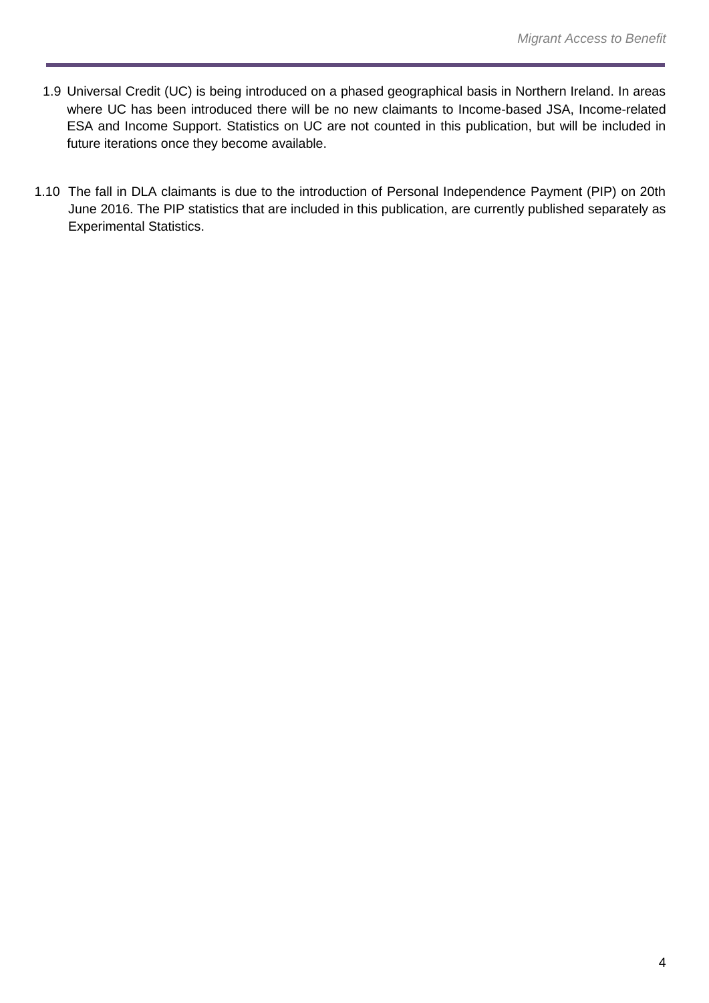- 1.9 Universal Credit (UC) is being introduced on a phased geographical basis in Northern Ireland. In areas where UC has been introduced there will be no new claimants to Income-based JSA, Income-related ESA and Income Support. Statistics on UC are not counted in this publication, but will be included in future iterations once they become available.
- 1.10 The fall in DLA claimants is due to the introduction of Personal Independence Payment (PIP) on 20th June 2016. The PIP statistics that are included in this publication, are currently published separately as Experimental Statistics.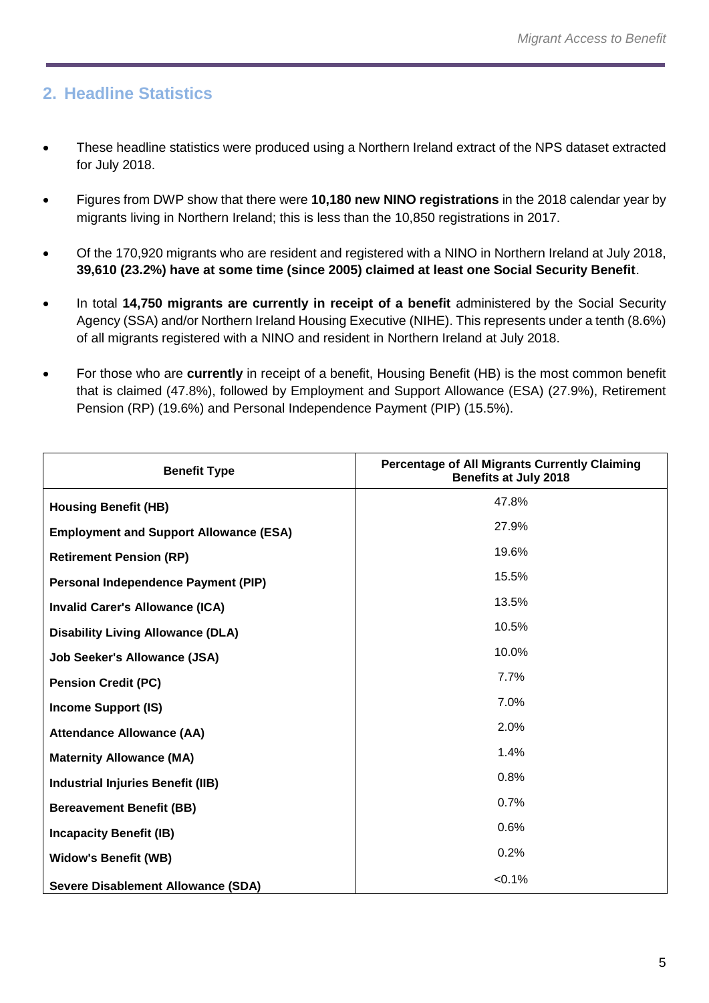# <span id="page-4-0"></span>**2. Headline Statistics**

- These headline statistics were produced using a Northern Ireland extract of the NPS dataset extracted for July 2018.
- Figures from DWP show that there were **10,180 new NINO registrations** in the 2018 calendar year by migrants living in Northern Ireland; this is less than the 10,850 registrations in 2017.
- Of the 170,920 migrants who are resident and registered with a NINO in Northern Ireland at July 2018, **39,610 (23.2%) have at some time (since 2005) claimed at least one Social Security Benefit**.
- In total **14,750 migrants are currently in receipt of a benefit** administered by the Social Security Agency (SSA) and/or Northern Ireland Housing Executive (NIHE). This represents under a tenth (8.6%) of all migrants registered with a NINO and resident in Northern Ireland at July 2018.
- For those who are **currently** in receipt of a benefit, Housing Benefit (HB) is the most common benefit that is claimed (47.8%), followed by Employment and Support Allowance (ESA) (27.9%), Retirement Pension (RP) (19.6%) and Personal Independence Payment (PIP) (15.5%).

| <b>Benefit Type</b>                           | <b>Percentage of All Migrants Currently Claiming</b><br><b>Benefits at July 2018</b> |
|-----------------------------------------------|--------------------------------------------------------------------------------------|
| <b>Housing Benefit (HB)</b>                   | 47.8%                                                                                |
| <b>Employment and Support Allowance (ESA)</b> | 27.9%                                                                                |
| <b>Retirement Pension (RP)</b>                | 19.6%                                                                                |
| Personal Independence Payment (PIP)           | 15.5%                                                                                |
| <b>Invalid Carer's Allowance (ICA)</b>        | 13.5%                                                                                |
| <b>Disability Living Allowance (DLA)</b>      | 10.5%                                                                                |
| <b>Job Seeker's Allowance (JSA)</b>           | 10.0%                                                                                |
| <b>Pension Credit (PC)</b>                    | 7.7%                                                                                 |
| <b>Income Support (IS)</b>                    | 7.0%                                                                                 |
| <b>Attendance Allowance (AA)</b>              | 2.0%                                                                                 |
| <b>Maternity Allowance (MA)</b>               | 1.4%                                                                                 |
| <b>Industrial Injuries Benefit (IIB)</b>      | 0.8%                                                                                 |
| <b>Bereavement Benefit (BB)</b>               | 0.7%                                                                                 |
| <b>Incapacity Benefit (IB)</b>                | 0.6%                                                                                 |
| <b>Widow's Benefit (WB)</b>                   | 0.2%                                                                                 |
| <b>Severe Disablement Allowance (SDA)</b>     | $< 0.1\%$                                                                            |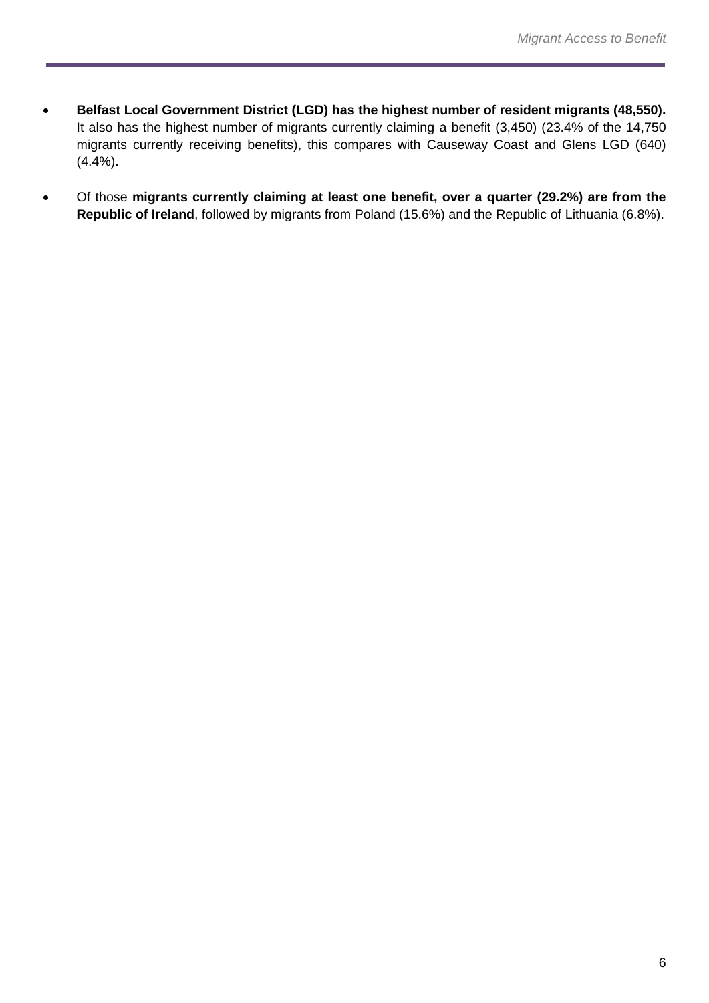- **Belfast Local Government District (LGD) has the highest number of resident migrants (48,550).** It also has the highest number of migrants currently claiming a benefit (3,450) (23.4% of the 14,750 migrants currently receiving benefits), this compares with Causeway Coast and Glens LGD (640) (4.4%).
- Of those **migrants currently claiming at least one benefit, over a quarter (29.2%) are from the Republic of Ireland**, followed by migrants from Poland (15.6%) and the Republic of Lithuania (6.8%).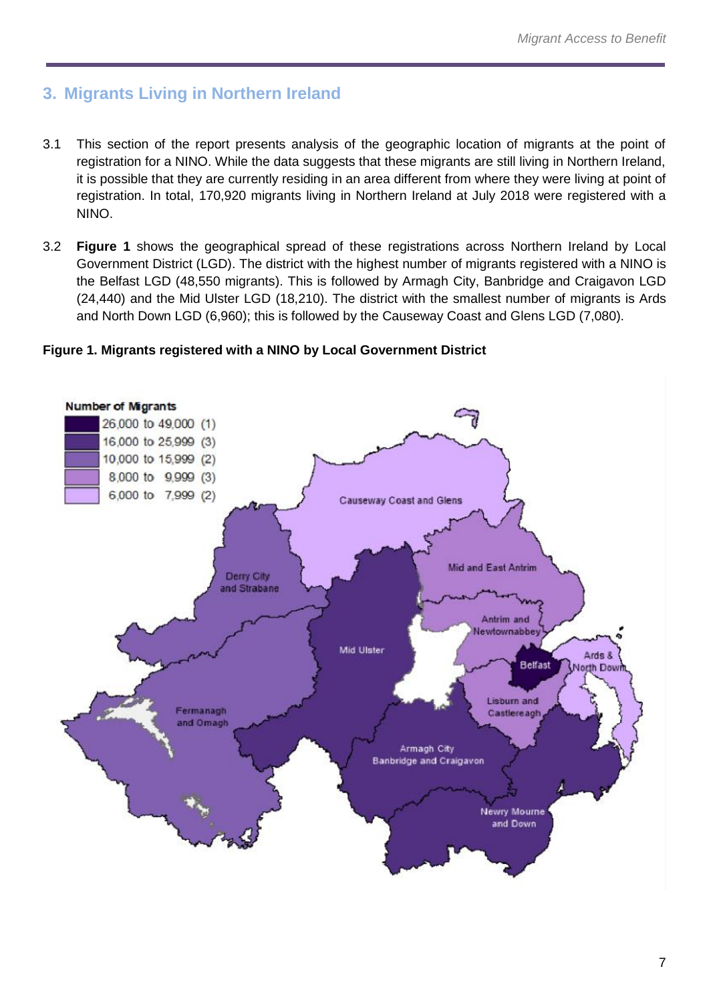# <span id="page-6-0"></span>**3. Migrants Living in Northern Ireland**

- 3.1 This section of the report presents analysis of the geographic location of migrants at the point of registration for a NINO. While the data suggests that these migrants are still living in Northern Ireland, it is possible that they are currently residing in an area different from where they were living at point of registration. In total, 170,920 migrants living in Northern Ireland at July 2018 were registered with a NINO.
- 3.2 **Figure 1** shows the geographical spread of these registrations across Northern Ireland by Local Government District (LGD). The district with the highest number of migrants registered with a NINO is the Belfast LGD (48,550 migrants). This is followed by Armagh City, Banbridge and Craigavon LGD (24,440) and the Mid Ulster LGD (18,210). The district with the smallest number of migrants is Ards and North Down LGD (6,960); this is followed by the Causeway Coast and Glens LGD (7,080).

#### **Figure 1. Migrants registered with a NINO by Local Government District**

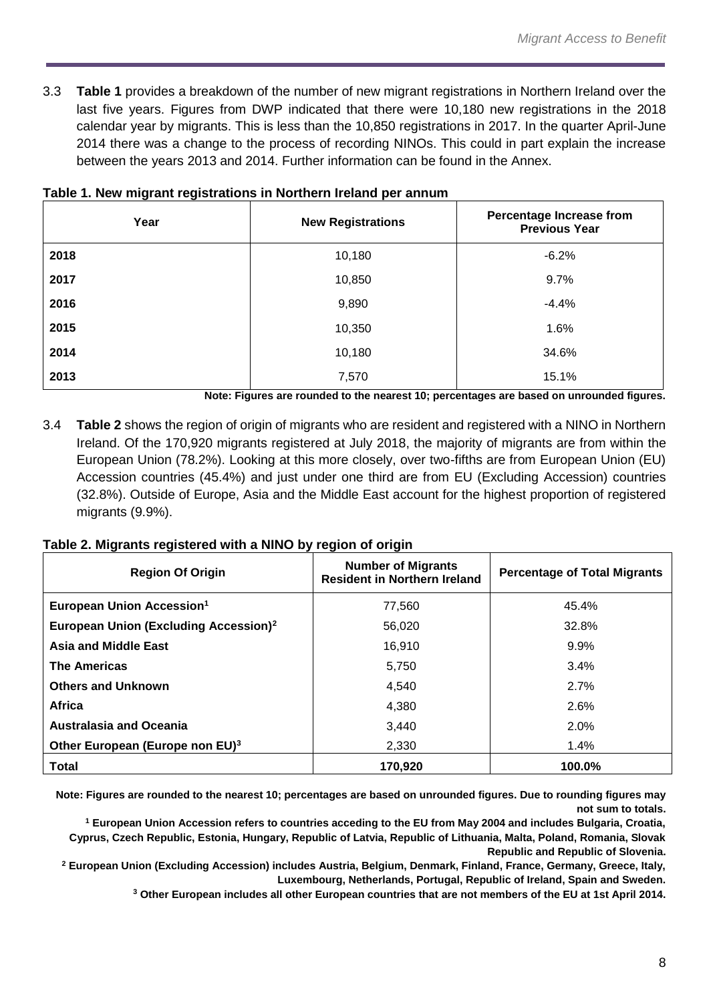3.3 **Table 1** provides a breakdown of the number of new migrant registrations in Northern Ireland over the last five years. Figures from DWP indicated that there were 10,180 new registrations in the 2018 calendar year by migrants. This is less than the 10,850 registrations in 2017. In the quarter April-June 2014 there was a change to the process of recording NINOs. This could in part explain the increase between the years 2013 and 2014. Further information can be found in the Annex.

| Year | <b>New Registrations</b> | <b>Percentage Increase from</b><br><b>Previous Year</b> |
|------|--------------------------|---------------------------------------------------------|
| 2018 | 10,180                   | $-6.2%$                                                 |
| 2017 | 10,850                   | 9.7%                                                    |
| 2016 | 9,890                    | $-4.4%$                                                 |
| 2015 | 10,350                   | 1.6%                                                    |
| 2014 | 10,180                   | 34.6%                                                   |
| 2013 | 7,570                    | 15.1%                                                   |

#### **Table 1. New migrant registrations in Northern Ireland per annum**

**Note: Figures are rounded to the nearest 10; percentages are based on unrounded figures.** 

3.4 **Table 2** shows the region of origin of migrants who are resident and registered with a NINO in Northern Ireland. Of the 170,920 migrants registered at July 2018, the majority of migrants are from within the European Union (78.2%). Looking at this more closely, over two-fifths are from European Union (EU) Accession countries (45.4%) and just under one third are from EU (Excluding Accession) countries (32.8%). Outside of Europe, Asia and the Middle East account for the highest proportion of registered migrants (9.9%).

#### **Table 2. Migrants registered with a NINO by region of origin**

| <b>Region Of Origin</b>                           | <b>Number of Migrants</b><br><b>Resident in Northern Ireland</b> | <b>Percentage of Total Migrants</b> |
|---------------------------------------------------|------------------------------------------------------------------|-------------------------------------|
| European Union Accession <sup>1</sup>             | 77,560                                                           | 45.4%                               |
| European Union (Excluding Accession) <sup>2</sup> | 56.020                                                           | 32.8%                               |
| <b>Asia and Middle East</b>                       | 16,910                                                           | 9.9%                                |
| <b>The Americas</b>                               | 5,750                                                            | $3.4\%$                             |
| <b>Others and Unknown</b>                         | 4.540                                                            | 2.7%                                |
| Africa                                            | 4.380                                                            | 2.6%                                |
| <b>Australasia and Oceania</b>                    | 3,440                                                            | $2.0\%$                             |
| Other European (Europe non EU) <sup>3</sup>       | 2.330                                                            | 1.4%                                |
| <b>Total</b>                                      | 170,920                                                          | 100.0%                              |

**Note: Figures are rounded to the nearest 10; percentages are based on unrounded figures. Due to rounding figures may not sum to totals.**

**<sup>1</sup> European Union Accession refers to countries acceding to the EU from May 2004 and includes Bulgaria, Croatia, Cyprus, Czech Republic, Estonia, Hungary, Republic of Latvia, Republic of Lithuania, Malta, Poland, Romania, Slovak Republic and Republic of Slovenia.**

**<sup>2</sup> European Union (Excluding Accession) includes Austria, Belgium, Denmark, Finland, France, Germany, Greece, Italy, Luxembourg, Netherlands, Portugal, Republic of Ireland, Spain and Sweden.**

**<sup>3</sup> Other European includes all other European countries that are not members of the EU at 1st April 2014.**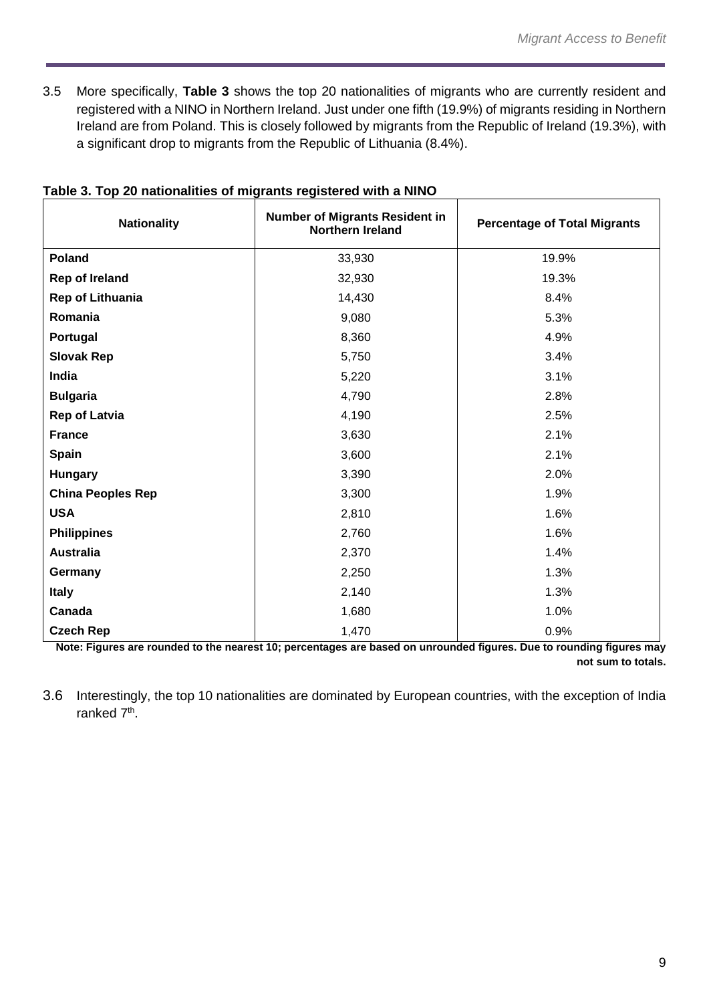3.5 More specifically, **Table 3** shows the top 20 nationalities of migrants who are currently resident and registered with a NINO in Northern Ireland. Just under one fifth (19.9%) of migrants residing in Northern Ireland are from Poland. This is closely followed by migrants from the Republic of Ireland (19.3%), with a significant drop to migrants from the Republic of Lithuania (8.4%).

| <b>Nationality</b>       | <b>Number of Migrants Resident in</b><br><b>Northern Ireland</b> | <b>Percentage of Total Migrants</b> |
|--------------------------|------------------------------------------------------------------|-------------------------------------|
| Poland                   | 33,930                                                           | 19.9%                               |
| <b>Rep of Ireland</b>    | 32,930                                                           | 19.3%                               |
| <b>Rep of Lithuania</b>  | 14,430                                                           | 8.4%                                |
| Romania                  | 9,080                                                            | 5.3%                                |
| Portugal                 | 8,360                                                            | 4.9%                                |
| <b>Slovak Rep</b>        | 5,750                                                            | 3.4%                                |
| India                    | 5,220                                                            | 3.1%                                |
| <b>Bulgaria</b>          | 4,790                                                            | 2.8%                                |
| <b>Rep of Latvia</b>     | 4,190                                                            | 2.5%                                |
| <b>France</b>            | 3,630                                                            | 2.1%                                |
| <b>Spain</b>             | 3,600                                                            | 2.1%                                |
| <b>Hungary</b>           | 3,390                                                            | 2.0%                                |
| <b>China Peoples Rep</b> | 3,300                                                            | 1.9%                                |
| <b>USA</b>               | 2,810                                                            | 1.6%                                |
| <b>Philippines</b>       | 2,760                                                            | 1.6%                                |
| <b>Australia</b>         | 2,370                                                            | 1.4%                                |
| Germany                  | 2,250                                                            | 1.3%                                |
| <b>Italy</b>             | 2,140                                                            | 1.3%                                |
| Canada                   | 1,680                                                            | 1.0%                                |
| <b>Czech Rep</b>         | 1,470                                                            | 0.9%                                |

## **Table 3. Top 20 nationalities of migrants registered with a NINO**

**Note: Figures are rounded to the nearest 10; percentages are based on unrounded figures. Due to rounding figures may not sum to totals.**

3.6 Interestingly, the top 10 nationalities are dominated by European countries, with the exception of India ranked 7<sup>th</sup>.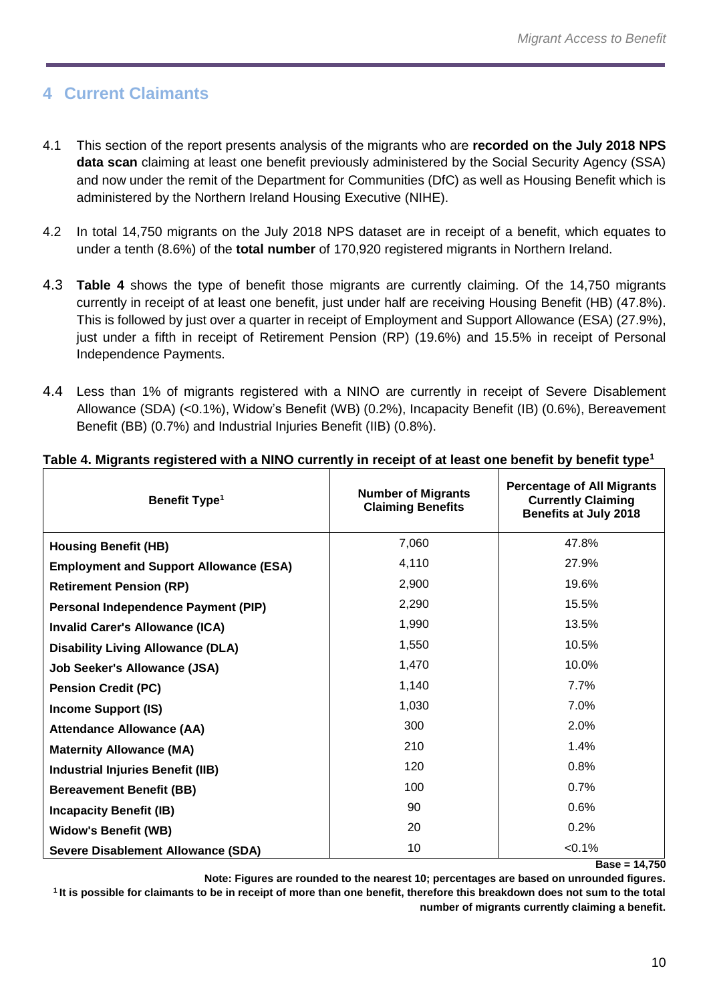# <span id="page-9-0"></span>**4 Current Claimants**

- 4.1 This section of the report presents analysis of the migrants who are **recorded on the July 2018 NPS data scan** claiming at least one benefit previously administered by the Social Security Agency (SSA) and now under the remit of the Department for Communities (DfC) as well as Housing Benefit which is administered by the Northern Ireland Housing Executive (NIHE).
- 4.2 In total 14,750 migrants on the July 2018 NPS dataset are in receipt of a benefit, which equates to under a tenth (8.6%) of the **total number** of 170,920 registered migrants in Northern Ireland.
- 4.3 **Table 4** shows the type of benefit those migrants are currently claiming. Of the 14,750 migrants currently in receipt of at least one benefit, just under half are receiving Housing Benefit (HB) (47.8%). This is followed by just over a quarter in receipt of Employment and Support Allowance (ESA) (27.9%), just under a fifth in receipt of Retirement Pension (RP) (19.6%) and 15.5% in receipt of Personal Independence Payments.
- 4.4 Less than 1% of migrants registered with a NINO are currently in receipt of Severe Disablement Allowance (SDA) (<0.1%), Widow's Benefit (WB) (0.2%), Incapacity Benefit (IB) (0.6%), Bereavement Benefit (BB) (0.7%) and Industrial Injuries Benefit (IIB) (0.8%).

| Benefit Type <sup>1</sup>                     | <b>Number of Migrants</b><br><b>Claiming Benefits</b> | <b>Percentage of All Migrants</b><br><b>Currently Claiming</b><br><b>Benefits at July 2018</b> |
|-----------------------------------------------|-------------------------------------------------------|------------------------------------------------------------------------------------------------|
| <b>Housing Benefit (HB)</b>                   | 7,060                                                 | 47.8%                                                                                          |
| <b>Employment and Support Allowance (ESA)</b> | 4,110                                                 | 27.9%                                                                                          |
| <b>Retirement Pension (RP)</b>                | 2,900                                                 | 19.6%                                                                                          |
| <b>Personal Independence Payment (PIP)</b>    | 2,290                                                 | 15.5%                                                                                          |
| <b>Invalid Carer's Allowance (ICA)</b>        | 1,990                                                 | 13.5%                                                                                          |
| <b>Disability Living Allowance (DLA)</b>      | 1,550                                                 | 10.5%                                                                                          |
| <b>Job Seeker's Allowance (JSA)</b>           | 1,470                                                 | 10.0%                                                                                          |
| <b>Pension Credit (PC)</b>                    | 1,140                                                 | 7.7%                                                                                           |
| <b>Income Support (IS)</b>                    | 1,030                                                 | 7.0%                                                                                           |
| <b>Attendance Allowance (AA)</b>              | 300                                                   | 2.0%                                                                                           |
| <b>Maternity Allowance (MA)</b>               | 210                                                   | 1.4%                                                                                           |
| <b>Industrial Injuries Benefit (IIB)</b>      | 120                                                   | 0.8%                                                                                           |
| <b>Bereavement Benefit (BB)</b>               | 100                                                   | 0.7%                                                                                           |
| <b>Incapacity Benefit (IB)</b>                | 90                                                    | 0.6%                                                                                           |
| <b>Widow's Benefit (WB)</b>                   | 20                                                    | 0.2%                                                                                           |
| Severe Disablement Allowance (SDA)            | 10                                                    | < 0.1%                                                                                         |

#### **Table 4. Migrants registered with a NINO currently in receipt of at least one benefit by benefit type<sup>1</sup>**

**Base = 14,750**

**Note: Figures are rounded to the nearest 10; percentages are based on unrounded figures.** 

**<sup>1</sup>It is possible for claimants to be in receipt of more than one benefit, therefore this breakdown does not sum to the total number of migrants currently claiming a benefit.**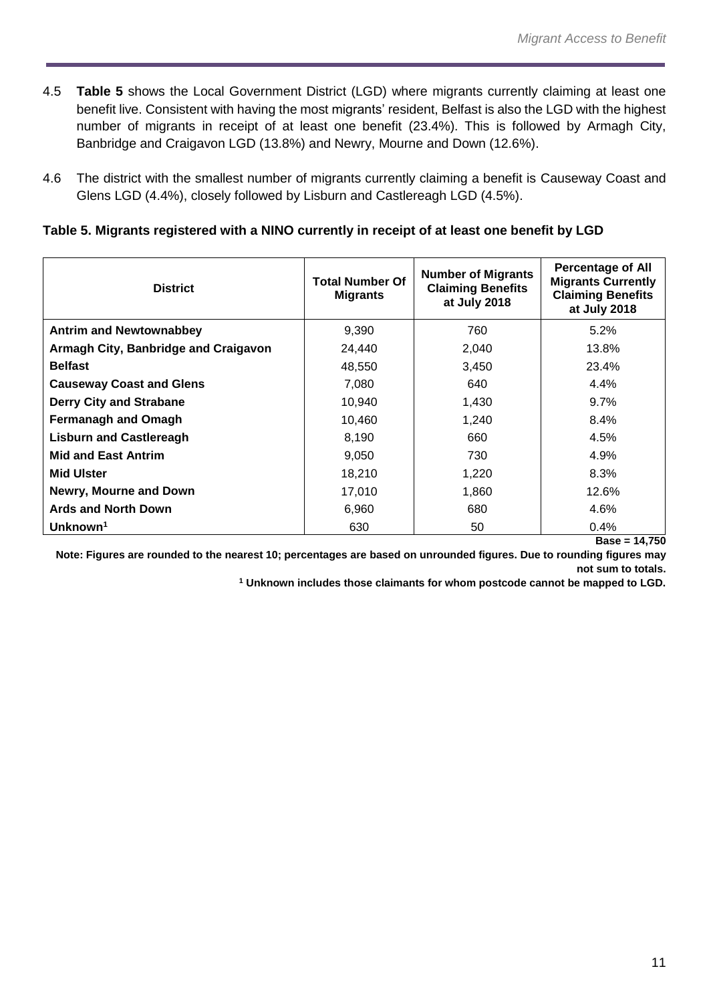- 4.5 **Table 5** shows the Local Government District (LGD) where migrants currently claiming at least one benefit live. Consistent with having the most migrants' resident, Belfast is also the LGD with the highest number of migrants in receipt of at least one benefit (23.4%). This is followed by Armagh City, Banbridge and Craigavon LGD (13.8%) and Newry, Mourne and Down (12.6%).
- 4.6 The district with the smallest number of migrants currently claiming a benefit is Causeway Coast and Glens LGD (4.4%), closely followed by Lisburn and Castlereagh LGD (4.5%).

### **Table 5. Migrants registered with a NINO currently in receipt of at least one benefit by LGD**

| <b>District</b>                      | <b>Total Number Of</b><br><b>Migrants</b> | <b>Number of Migrants</b><br><b>Claiming Benefits</b><br>at July 2018 | <b>Percentage of All</b><br><b>Migrants Currently</b><br><b>Claiming Benefits</b><br>at July 2018 |
|--------------------------------------|-------------------------------------------|-----------------------------------------------------------------------|---------------------------------------------------------------------------------------------------|
| <b>Antrim and Newtownabbey</b>       | 9,390                                     | 760                                                                   | 5.2%                                                                                              |
| Armagh City, Banbridge and Craigavon | 24,440                                    | 2,040                                                                 | 13.8%                                                                                             |
| <b>Belfast</b>                       | 48,550                                    | 3,450                                                                 | 23.4%                                                                                             |
| <b>Causeway Coast and Glens</b>      | 7,080                                     | 640                                                                   | 4.4%                                                                                              |
| <b>Derry City and Strabane</b>       | 10,940                                    | 1,430                                                                 | 9.7%                                                                                              |
| <b>Fermanagh and Omagh</b>           | 10,460                                    | 1,240                                                                 | 8.4%                                                                                              |
| <b>Lisburn and Castlereagh</b>       | 8,190                                     | 660                                                                   | 4.5%                                                                                              |
| <b>Mid and East Antrim</b>           | 9,050                                     | 730                                                                   | 4.9%                                                                                              |
| <b>Mid Ulster</b>                    | 18,210                                    | 1,220                                                                 | 8.3%                                                                                              |
| Newry, Mourne and Down               | 17,010                                    | 1,860                                                                 | 12.6%                                                                                             |
| <b>Ards and North Down</b>           | 6,960                                     | 680                                                                   | 4.6%                                                                                              |
| Unknown <sup>1</sup>                 | 630                                       | 50                                                                    | 0.4%                                                                                              |
|                                      |                                           |                                                                       | $Base = 14,750$                                                                                   |

**Note: Figures are rounded to the nearest 10; percentages are based on unrounded figures. Due to rounding figures may not sum to totals.**

**<sup>1</sup> Unknown includes those claimants for whom postcode cannot be mapped to LGD.**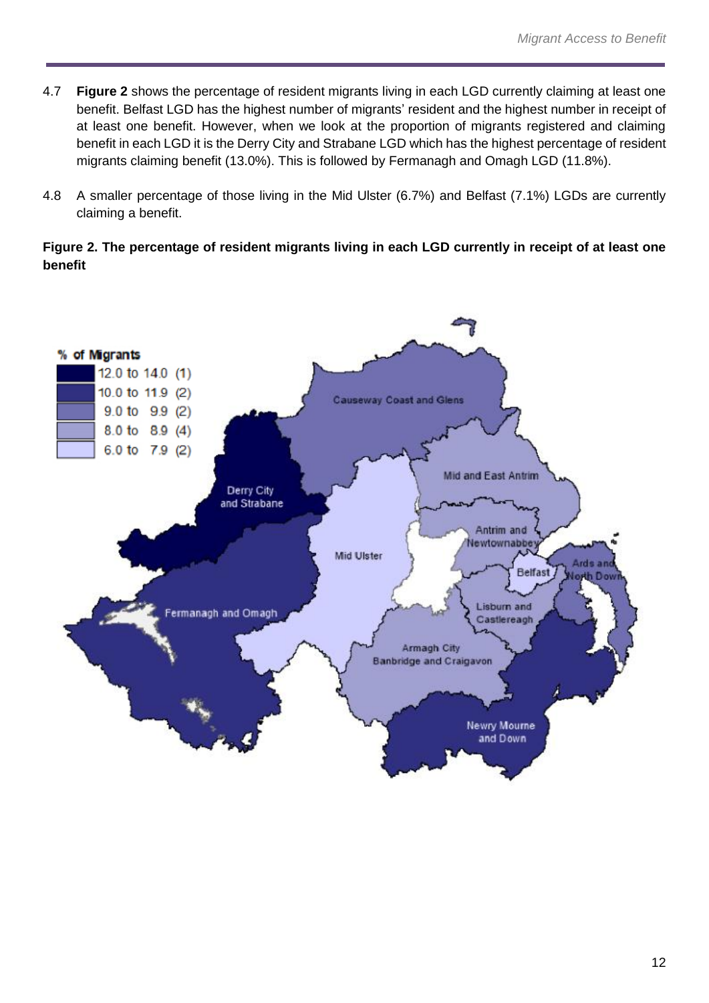- 4.7 **Figure 2** shows the percentage of resident migrants living in each LGD currently claiming at least one benefit. Belfast LGD has the highest number of migrants' resident and the highest number in receipt of at least one benefit. However, when we look at the proportion of migrants registered and claiming benefit in each LGD it is the Derry City and Strabane LGD which has the highest percentage of resident migrants claiming benefit (13.0%). This is followed by Fermanagh and Omagh LGD (11.8%).
- 4.8 A smaller percentage of those living in the Mid Ulster (6.7%) and Belfast (7.1%) LGDs are currently claiming a benefit.

**Figure 2. The percentage of resident migrants living in each LGD currently in receipt of at least one benefit**

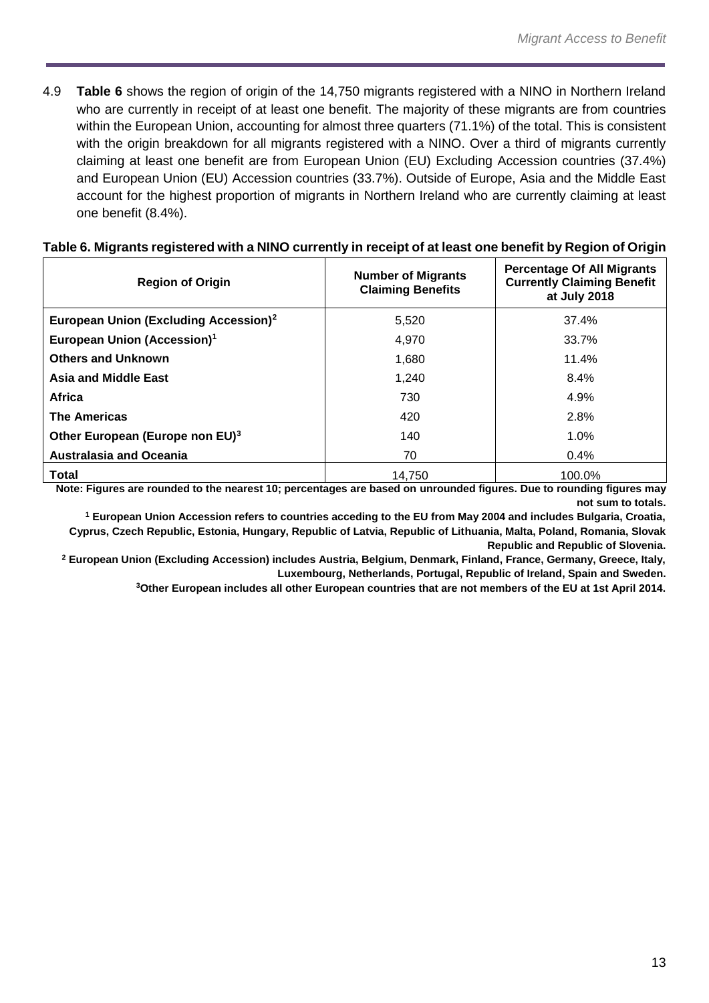4.9 **Table 6** shows the region of origin of the 14,750 migrants registered with a NINO in Northern Ireland who are currently in receipt of at least one benefit. The majority of these migrants are from countries within the European Union, accounting for almost three quarters (71.1%) of the total. This is consistent with the origin breakdown for all migrants registered with a NINO. Over a third of migrants currently claiming at least one benefit are from European Union (EU) Excluding Accession countries (37.4%) and European Union (EU) Accession countries (33.7%). Outside of Europe, Asia and the Middle East account for the highest proportion of migrants in Northern Ireland who are currently claiming at least one benefit (8.4%).

| <b>Region of Origin</b>                           | <b>Number of Migrants</b><br><b>Claiming Benefits</b> | <b>Percentage Of All Migrants</b><br><b>Currently Claiming Benefit</b><br>at July 2018 |
|---------------------------------------------------|-------------------------------------------------------|----------------------------------------------------------------------------------------|
| European Union (Excluding Accession) <sup>2</sup> | 5,520                                                 | 37.4%                                                                                  |
| European Union (Accession) <sup>1</sup>           | 4,970                                                 | 33.7%                                                                                  |
| <b>Others and Unknown</b>                         | 1,680                                                 | 11.4%                                                                                  |
| <b>Asia and Middle East</b>                       | 1,240                                                 | 8.4%                                                                                   |
| Africa                                            | 730                                                   | 4.9%                                                                                   |
| <b>The Americas</b>                               | 420                                                   | 2.8%                                                                                   |
| Other European (Europe non EU) <sup>3</sup>       | 140                                                   | 1.0%                                                                                   |
| <b>Australasia and Oceania</b>                    | 70                                                    | $0.4\%$                                                                                |
| Total                                             | 14.750                                                | 100.0%                                                                                 |

#### **Table 6. Migrants registered with a NINO currently in receipt of at least one benefit by Region of Origin**

**Note: Figures are rounded to the nearest 10; percentages are based on unrounded figures. Due to rounding figures may not sum to totals.**

**<sup>1</sup> European Union Accession refers to countries acceding to the EU from May 2004 and includes Bulgaria, Croatia, Cyprus, Czech Republic, Estonia, Hungary, Republic of Latvia, Republic of Lithuania, Malta, Poland, Romania, Slovak Republic and Republic of Slovenia.**

**<sup>2</sup> European Union (Excluding Accession) includes Austria, Belgium, Denmark, Finland, France, Germany, Greece, Italy, Luxembourg, Netherlands, Portugal, Republic of Ireland, Spain and Sweden.**

**3Other European includes all other European countries that are not members of the EU at 1st April 2014.**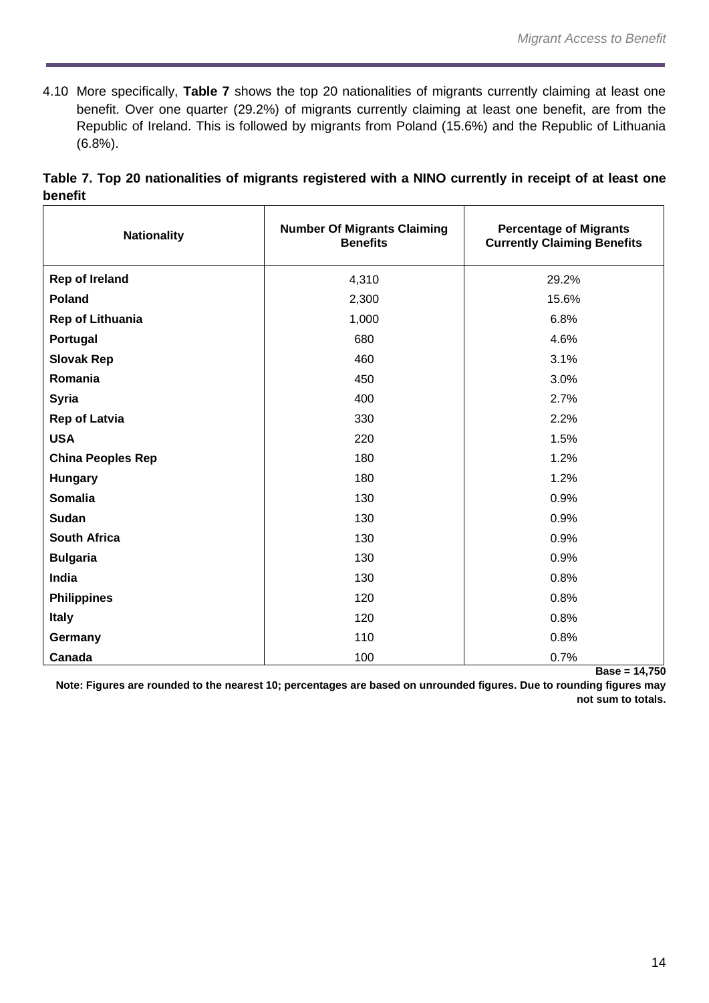4.10 More specifically, **Table 7** shows the top 20 nationalities of migrants currently claiming at least one benefit. Over one quarter (29.2%) of migrants currently claiming at least one benefit, are from the Republic of Ireland. This is followed by migrants from Poland (15.6%) and the Republic of Lithuania (6.8%).

|         | Table 7. Top 20 nationalities of migrants registered with a NINO currently in receipt of at least one |  |  |  |  |  |
|---------|-------------------------------------------------------------------------------------------------------|--|--|--|--|--|
| benefit |                                                                                                       |  |  |  |  |  |

| <b>Nationality</b>       | <b>Number Of Migrants Claiming</b><br><b>Benefits</b> | <b>Percentage of Migrants</b><br><b>Currently Claiming Benefits</b> |
|--------------------------|-------------------------------------------------------|---------------------------------------------------------------------|
| <b>Rep of Ireland</b>    | 4,310                                                 | 29.2%                                                               |
| <b>Poland</b>            | 2,300                                                 | 15.6%                                                               |
| <b>Rep of Lithuania</b>  | 1,000                                                 | 6.8%                                                                |
| Portugal                 | 680                                                   | 4.6%                                                                |
| <b>Slovak Rep</b>        | 460                                                   | 3.1%                                                                |
| Romania                  | 450                                                   | 3.0%                                                                |
| <b>Syria</b>             | 400                                                   | 2.7%                                                                |
| <b>Rep of Latvia</b>     | 330                                                   | 2.2%                                                                |
| <b>USA</b>               | 220                                                   | 1.5%                                                                |
| <b>China Peoples Rep</b> | 180                                                   | 1.2%                                                                |
| Hungary                  | 180                                                   | 1.2%                                                                |
| <b>Somalia</b>           | 130                                                   | 0.9%                                                                |
| <b>Sudan</b>             | 130                                                   | 0.9%                                                                |
| <b>South Africa</b>      | 130                                                   | 0.9%                                                                |
| <b>Bulgaria</b>          | 130                                                   | 0.9%                                                                |
| India                    | 130                                                   | 0.8%                                                                |
| <b>Philippines</b>       | 120                                                   | 0.8%                                                                |
| <b>Italy</b>             | 120                                                   | 0.8%                                                                |
| Germany                  | 110                                                   | 0.8%                                                                |
| Canada                   | 100                                                   | 0.7%                                                                |

**Base = 14,750**

**Note: Figures are rounded to the nearest 10; percentages are based on unrounded figures. Due to rounding figures may not sum to totals.**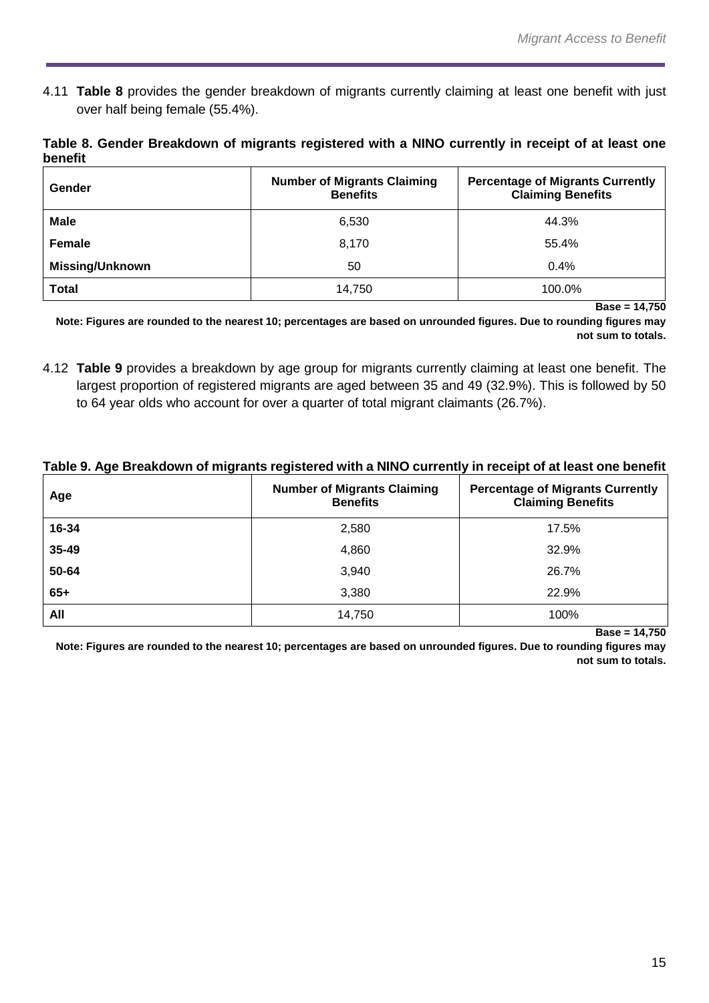4.11 **Table 8** provides the gender breakdown of migrants currently claiming at least one benefit with just over half being female (55.4%).

**Table 8. Gender Breakdown of migrants registered with a NINO currently in receipt of at least one benefit**

| Gender                 | <b>Number of Migrants Claiming</b><br><b>Benefits</b> | <b>Percentage of Migrants Currently</b><br><b>Claiming Benefits</b> |
|------------------------|-------------------------------------------------------|---------------------------------------------------------------------|
| <b>Male</b>            | 6,530                                                 | 44.3%                                                               |
| Female                 | 8,170                                                 | 55.4%                                                               |
| <b>Missing/Unknown</b> | 50                                                    | 0.4%                                                                |
| <b>Total</b>           | 14,750                                                | 100.0%                                                              |

**Base = 14,750**

**Note: Figures are rounded to the nearest 10; percentages are based on unrounded figures. Due to rounding figures may not sum to totals.**

4.12 **Table 9** provides a breakdown by age group for migrants currently claiming at least one benefit. The largest proportion of registered migrants are aged between 35 and 49 (32.9%). This is followed by 50 to 64 year olds who account for over a quarter of total migrant claimants (26.7%).

|  | Table 9. Age Breakdown of migrants registered with a NINO currently in receipt of at least one benefit |  |
|--|--------------------------------------------------------------------------------------------------------|--|
|  |                                                                                                        |  |

| Age   | <b>Number of Migrants Claiming</b><br><b>Benefits</b> | <b>Percentage of Migrants Currently</b><br><b>Claiming Benefits</b> |
|-------|-------------------------------------------------------|---------------------------------------------------------------------|
| 16-34 | 2,580                                                 | 17.5%                                                               |
| 35-49 | 4,860                                                 | 32.9%                                                               |
| 50-64 | 3,940                                                 | 26.7%                                                               |
| $65+$ | 3,380                                                 | 22.9%                                                               |
| All   | 14,750                                                | 100%                                                                |

**Base = 14,750**

**Note: Figures are rounded to the nearest 10; percentages are based on unrounded figures. Due to rounding figures may not sum to totals.**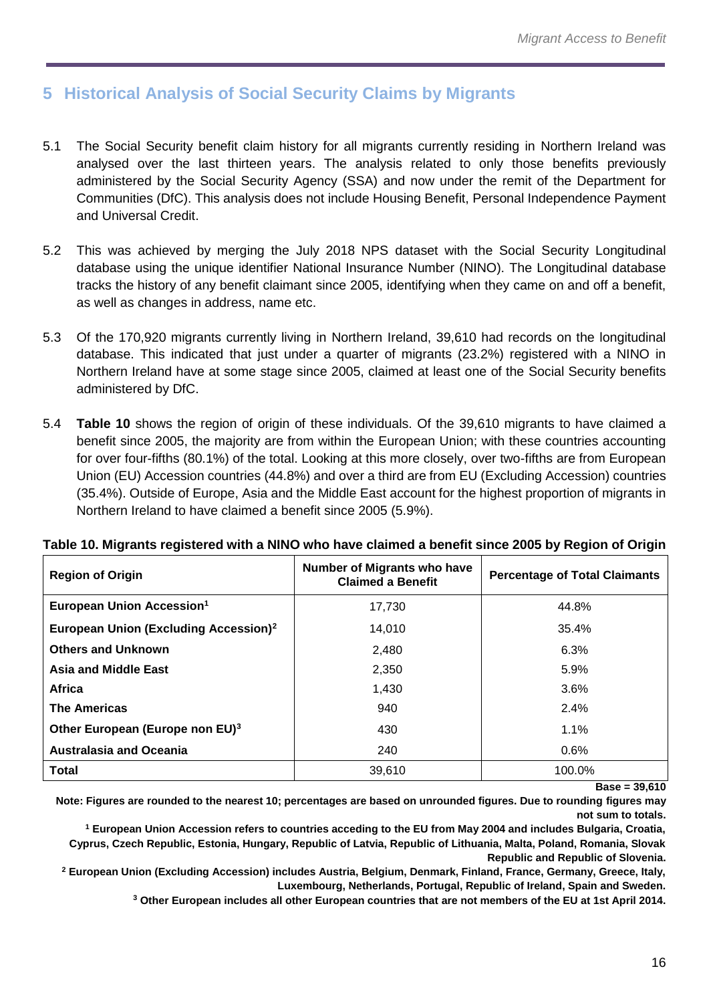# <span id="page-15-0"></span>**5 Historical Analysis of Social Security Claims by Migrants**

- 5.1 The Social Security benefit claim history for all migrants currently residing in Northern Ireland was analysed over the last thirteen years. The analysis related to only those benefits previously administered by the Social Security Agency (SSA) and now under the remit of the Department for Communities (DfC). This analysis does not include Housing Benefit, Personal Independence Payment and Universal Credit.
- 5.2 This was achieved by merging the July 2018 NPS dataset with the Social Security Longitudinal database using the unique identifier National Insurance Number (NINO). The Longitudinal database tracks the history of any benefit claimant since 2005, identifying when they came on and off a benefit, as well as changes in address, name etc.
- 5.3 Of the 170,920 migrants currently living in Northern Ireland, 39,610 had records on the longitudinal database. This indicated that just under a quarter of migrants (23.2%) registered with a NINO in Northern Ireland have at some stage since 2005, claimed at least one of the Social Security benefits administered by DfC.
- 5.4 **Table 10** shows the region of origin of these individuals. Of the 39,610 migrants to have claimed a benefit since 2005, the majority are from within the European Union; with these countries accounting for over four-fifths (80.1%) of the total. Looking at this more closely, over two-fifths are from European Union (EU) Accession countries (44.8%) and over a third are from EU (Excluding Accession) countries (35.4%). Outside of Europe, Asia and the Middle East account for the highest proportion of migrants in Northern Ireland to have claimed a benefit since 2005 (5.9%).

| <b>Region of Origin</b>                           | <b>Number of Migrants who have</b><br><b>Claimed a Benefit</b> | <b>Percentage of Total Claimants</b> |
|---------------------------------------------------|----------------------------------------------------------------|--------------------------------------|
| European Union Accession <sup>1</sup>             | 17.730                                                         | 44.8%                                |
| European Union (Excluding Accession) <sup>2</sup> | 14,010                                                         | 35.4%                                |
| <b>Others and Unknown</b>                         | 2,480                                                          | 6.3%                                 |
| <b>Asia and Middle East</b>                       | 2,350                                                          | 5.9%                                 |
| Africa                                            | 1,430                                                          | 3.6%                                 |
| <b>The Americas</b>                               | 940                                                            | 2.4%                                 |
| Other European (Europe non EU) <sup>3</sup>       | 430                                                            | $1.1\%$                              |
| <b>Australasia and Oceania</b>                    | 240                                                            | 0.6%                                 |
| <b>Total</b>                                      | 39,610                                                         | 100.0%                               |

#### **Table 10. Migrants registered with a NINO who have claimed a benefit since 2005 by Region of Origin**

**Base = 39,610**

**Note: Figures are rounded to the nearest 10; percentages are based on unrounded figures. Due to rounding figures may not sum to totals.**

**<sup>1</sup> European Union Accession refers to countries acceding to the EU from May 2004 and includes Bulgaria, Croatia, Cyprus, Czech Republic, Estonia, Hungary, Republic of Latvia, Republic of Lithuania, Malta, Poland, Romania, Slovak Republic and Republic of Slovenia.**

**<sup>2</sup> European Union (Excluding Accession) includes Austria, Belgium, Denmark, Finland, France, Germany, Greece, Italy, Luxembourg, Netherlands, Portugal, Republic of Ireland, Spain and Sweden.**

**<sup>3</sup> Other European includes all other European countries that are not members of the EU at 1st April 2014.**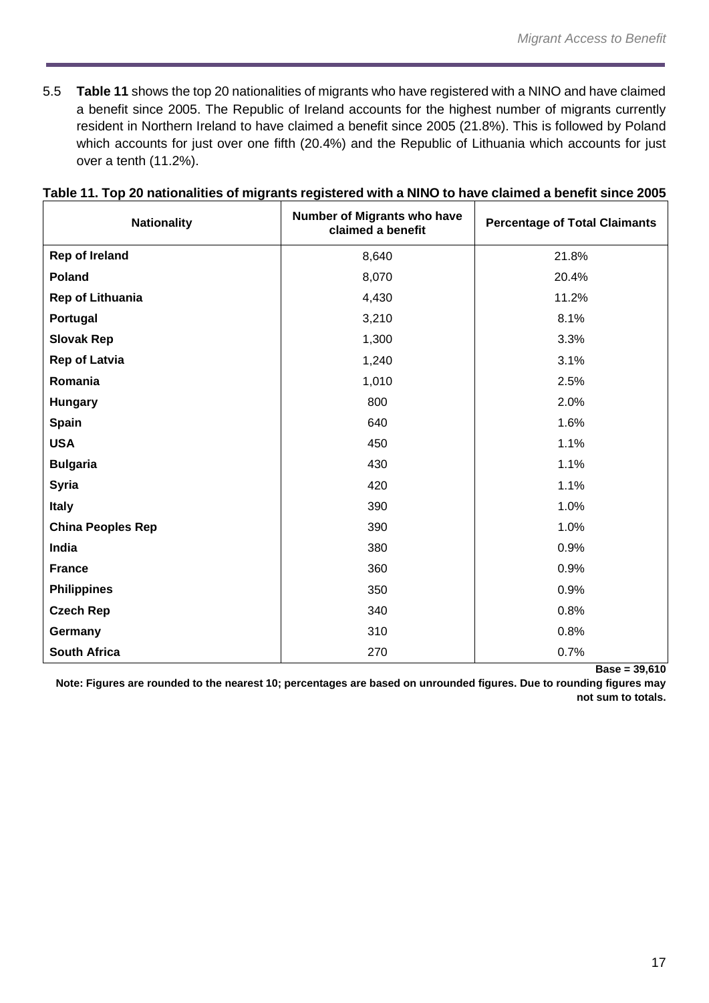5.5 **Table 11** shows the top 20 nationalities of migrants who have registered with a NINO and have claimed a benefit since 2005. The Republic of Ireland accounts for the highest number of migrants currently resident in Northern Ireland to have claimed a benefit since 2005 (21.8%). This is followed by Poland which accounts for just over one fifth (20.4%) and the Republic of Lithuania which accounts for just over a tenth (11.2%).

| Nationality              | Number of Migrants who have<br>claimed a benefit | <b>Percentage of Total Claimants</b> |
|--------------------------|--------------------------------------------------|--------------------------------------|
| <b>Rep of Ireland</b>    | 8,640                                            | 21.8%                                |
| Poland                   | 8,070                                            | 20.4%                                |
| <b>Rep of Lithuania</b>  | 4,430                                            | 11.2%                                |
| Portugal                 | 3,210                                            | 8.1%                                 |
| <b>Slovak Rep</b>        | 1,300                                            | 3.3%                                 |
| <b>Rep of Latvia</b>     | 1,240                                            | 3.1%                                 |
| Romania                  | 1,010                                            | 2.5%                                 |
| <b>Hungary</b>           | 800                                              | 2.0%                                 |
| <b>Spain</b>             | 640                                              | 1.6%                                 |
| <b>USA</b>               | 450                                              | 1.1%                                 |
| <b>Bulgaria</b>          | 430                                              | 1.1%                                 |
| <b>Syria</b>             | 420                                              | 1.1%                                 |
| <b>Italy</b>             | 390                                              | 1.0%                                 |
| <b>China Peoples Rep</b> | 390                                              | 1.0%                                 |
| India                    | 380                                              | 0.9%                                 |
| <b>France</b>            | 360                                              | 0.9%                                 |
| <b>Philippines</b>       | 350                                              | 0.9%                                 |
| <b>Czech Rep</b>         | 340                                              | 0.8%                                 |
| Germany                  | 310                                              | 0.8%                                 |
| <b>South Africa</b>      | 270                                              | 0.7%                                 |

## **Table 11. Top 20 nationalities of migrants registered with a NINO to have claimed a benefit since 2005**

**Base = 39,610**

**Note: Figures are rounded to the nearest 10; percentages are based on unrounded figures. Due to rounding figures may not sum to totals.**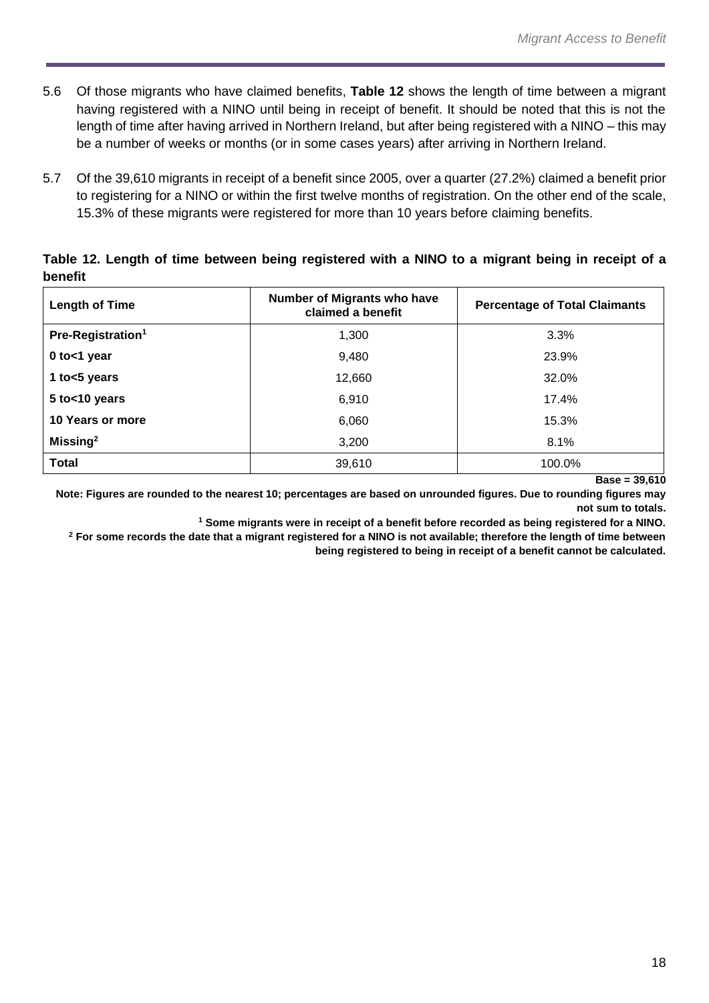- 5.6 Of those migrants who have claimed benefits, **Table 12** shows the length of time between a migrant having registered with a NINO until being in receipt of benefit. It should be noted that this is not the length of time after having arrived in Northern Ireland, but after being registered with a NINO – this may be a number of weeks or months (or in some cases years) after arriving in Northern Ireland.
- 5.7 Of the 39,610 migrants in receipt of a benefit since 2005, over a quarter (27.2%) claimed a benefit prior to registering for a NINO or within the first twelve months of registration. On the other end of the scale, 15.3% of these migrants were registered for more than 10 years before claiming benefits.

| <b>Length of Time</b>         | Number of Migrants who have<br>claimed a benefit | <b>Percentage of Total Claimants</b> |
|-------------------------------|--------------------------------------------------|--------------------------------------|
| Pre-Registration <sup>1</sup> | 1,300                                            | 3.3%                                 |
| 0 to<1 year                   | 9,480                                            | 23.9%                                |
| 1 to $<$ 5 years              | 12,660                                           | 32.0%                                |
| 5 to<10 years                 | 6,910                                            | 17.4%                                |
| 10 Years or more              | 6,060                                            | 15.3%                                |
| Missing $2$                   | 3,200                                            | 8.1%                                 |
| <b>Total</b>                  | 39,610                                           | 100.0%                               |

## **Table 12. Length of time between being registered with a NINO to a migrant being in receipt of a benefit**

**Base = 39,610**

**Note: Figures are rounded to the nearest 10; percentages are based on unrounded figures. Due to rounding figures may not sum to totals.**

**<sup>1</sup> Some migrants were in receipt of a benefit before recorded as being registered for a NINO.** 

**<sup>2</sup> For some records the date that a migrant registered for a NINO is not available; therefore the length of time between being registered to being in receipt of a benefit cannot be calculated.**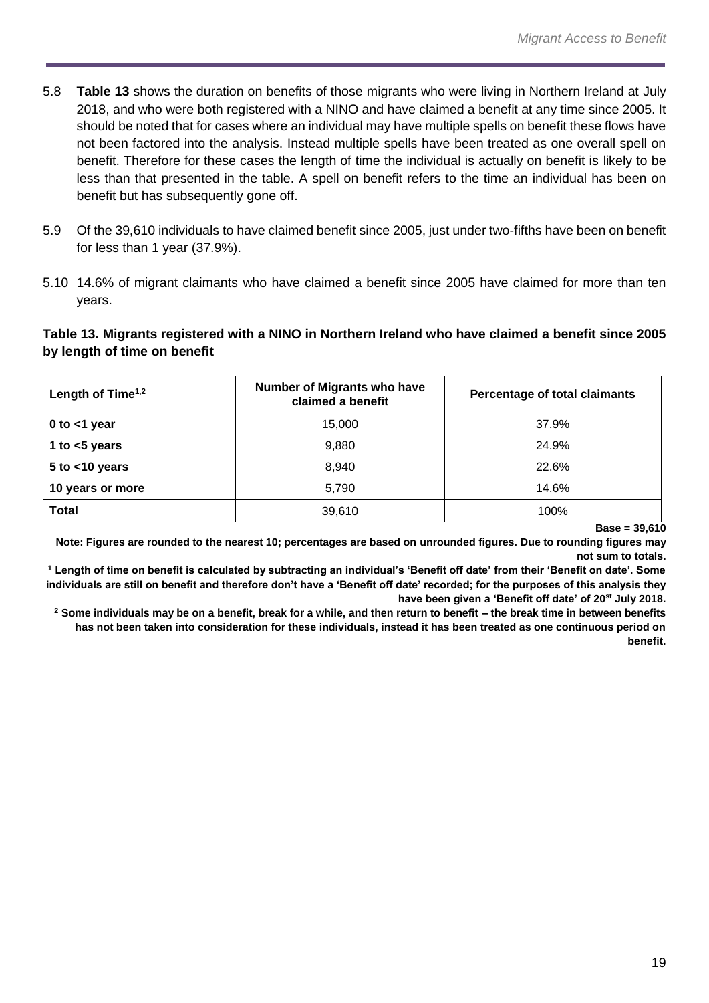- 5.8 **Table 13** shows the duration on benefits of those migrants who were living in Northern Ireland at July 2018, and who were both registered with a NINO and have claimed a benefit at any time since 2005. It should be noted that for cases where an individual may have multiple spells on benefit these flows have not been factored into the analysis. Instead multiple spells have been treated as one overall spell on benefit. Therefore for these cases the length of time the individual is actually on benefit is likely to be less than that presented in the table. A spell on benefit refers to the time an individual has been on benefit but has subsequently gone off.
- 5.9 Of the 39,610 individuals to have claimed benefit since 2005, just under two-fifths have been on benefit for less than 1 year (37.9%).
- 5.10 14.6% of migrant claimants who have claimed a benefit since 2005 have claimed for more than ten years.

**Table 13. Migrants registered with a NINO in Northern Ireland who have claimed a benefit since 2005 by length of time on benefit**

| Length of Time $1,2$ | <b>Number of Migrants who have</b><br>claimed a benefit | Percentage of total claimants |
|----------------------|---------------------------------------------------------|-------------------------------|
| 0 to $<$ 1 year      | 15,000                                                  | 37.9%                         |
| 1 to $<$ 5 years     | 9,880                                                   | 24.9%                         |
| $5$ to $<$ 10 years  | 8,940                                                   | 22.6%                         |
| 10 years or more     | 5,790                                                   | 14.6%                         |
| <b>Total</b>         | 39,610                                                  | 100%                          |

**Base = 39,610**

**Note: Figures are rounded to the nearest 10; percentages are based on unrounded figures. Due to rounding figures may not sum to totals.**

**<sup>1</sup> Length of time on benefit is calculated by subtracting an individual's 'Benefit off date' from their 'Benefit on date'. Some individuals are still on benefit and therefore don't have a 'Benefit off date' recorded; for the purposes of this analysis they have been given a 'Benefit off date' of 20st July 2018.**

**<sup>2</sup> Some individuals may be on a benefit, break for a while, and then return to benefit – the break time in between benefits has not been taken into consideration for these individuals, instead it has been treated as one continuous period on benefit.**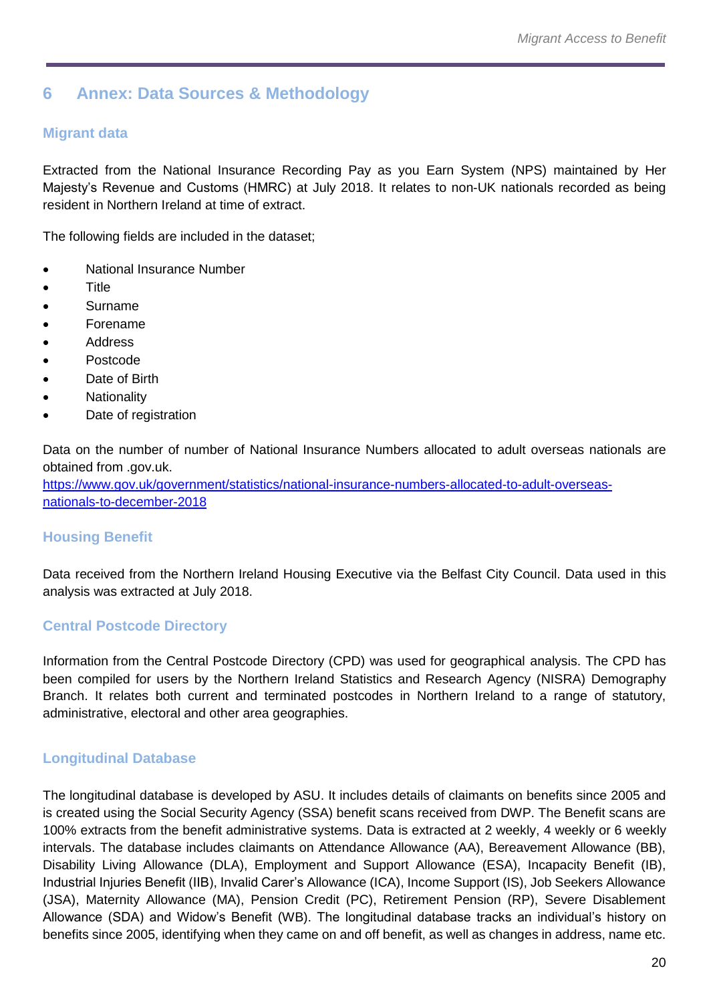# <span id="page-19-0"></span>**6 Annex: Data Sources & Methodology**

## **Migrant data**

Extracted from the National Insurance Recording Pay as you Earn System (NPS) maintained by Her Majesty's Revenue and Customs (HMRC) at July 2018. It relates to non-UK nationals recorded as being resident in Northern Ireland at time of extract.

The following fields are included in the dataset;

- National Insurance Number
- Title
- Surname
- Forename
- **Address**
- Postcode
- Date of Birth
- **Nationality**
- Date of registration

Data on the number of number of National Insurance Numbers allocated to adult overseas nationals are obtained from .gov.uk.

[https://www.gov.uk/government/statistics/national-insurance-numbers-allocated-to-adult-overseas](https://www.gov.uk/government/statistics/national-insurance-numbers-allocated-to-adult-overseas-nationals-to-december-2018)[nationals-to-december-2018](https://www.gov.uk/government/statistics/national-insurance-numbers-allocated-to-adult-overseas-nationals-to-december-2018)

## **Housing Benefit**

Data received from the Northern Ireland Housing Executive via the Belfast City Council. Data used in this analysis was extracted at July 2018.

# **Central Postcode Directory**

Information from the Central Postcode Directory (CPD) was used for geographical analysis. The CPD has been compiled for users by the Northern Ireland Statistics and Research Agency (NISRA) Demography Branch. It relates both current and terminated postcodes in Northern Ireland to a range of statutory, administrative, electoral and other area geographies.

## **Longitudinal Database**

The longitudinal database is developed by ASU. It includes details of claimants on benefits since 2005 and is created using the Social Security Agency (SSA) benefit scans received from DWP. The Benefit scans are 100% extracts from the benefit administrative systems. Data is extracted at 2 weekly, 4 weekly or 6 weekly intervals. The database includes claimants on Attendance Allowance (AA), Bereavement Allowance (BB), Disability Living Allowance (DLA), Employment and Support Allowance (ESA), Incapacity Benefit (IB), Industrial Injuries Benefit (IIB), Invalid Carer's Allowance (ICA), Income Support (IS), Job Seekers Allowance (JSA), Maternity Allowance (MA), Pension Credit (PC), Retirement Pension (RP), Severe Disablement Allowance (SDA) and Widow's Benefit (WB). The longitudinal database tracks an individual's history on benefits since 2005, identifying when they came on and off benefit, as well as changes in address, name etc.